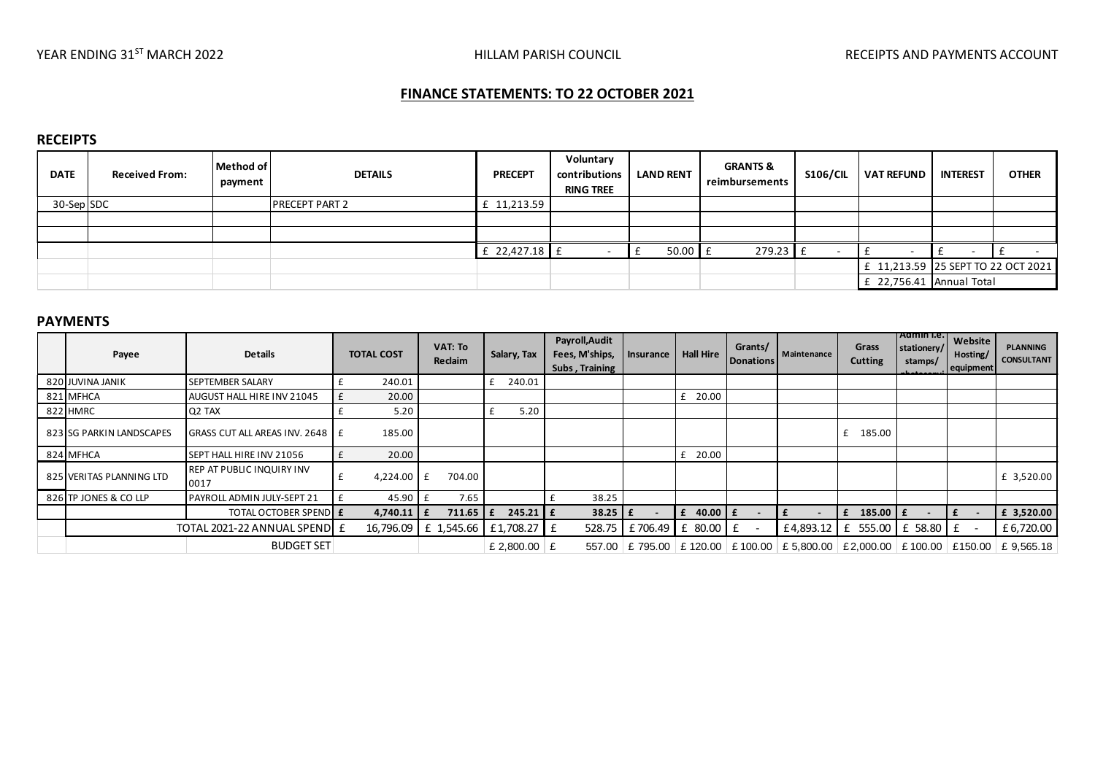# **FINANCE STATEMENTS: TO 22 OCTOBER 2021**

# **RECEIPTS**

| <b>DATE</b> | <b>Received From:</b> | Method of<br>payment | <b>DETAILS</b>        | <b>PRECEPT</b> | Voluntary<br>contributions<br><b>RING TREE</b> | <b>LAND RENT</b> | <b>GRANTS &amp;</b><br>reimbursements | <b>S106/CIL</b> | <b>VAT REFUND</b>                  | <b>INTEREST</b> | <b>OTHER</b> |
|-------------|-----------------------|----------------------|-----------------------|----------------|------------------------------------------------|------------------|---------------------------------------|-----------------|------------------------------------|-----------------|--------------|
| 30-Sep SDC  |                       |                      | <b>PRECEPT PART 2</b> | £ 11,213.59    |                                                |                  |                                       |                 |                                    |                 |              |
|             |                       |                      |                       |                |                                                |                  |                                       |                 |                                    |                 |              |
|             |                       |                      |                       |                |                                                |                  |                                       |                 |                                    |                 |              |
|             |                       |                      |                       | £ 22,427.18 f  |                                                | $50.00$ E        | 279.23                                |                 |                                    |                 |              |
|             |                       |                      |                       |                |                                                |                  |                                       |                 | £ 11,213.59 25 SEPT TO 22 OCT 2021 |                 |              |
|             |                       |                      |                       |                |                                                |                  |                                       |                 | £ 22,756.41                        | Annual Total    |              |

#### **PAYMENTS**

| Payee                        | <b>Details</b>                           | <b>TOTAL COST</b> |                    | <b>VAT: To</b><br>Reclaim |                 | Salary, Tax                       | Payroll, Audit<br>Fees, M'ships,<br>Subs, Training | Insurance | <b>Hall Hire</b> | Grants/<br>Donations | Maintenance | Grass<br><b>Cutting</b>         | <b>Admin I.e.</b><br>stationery/<br>stamps/ | Website<br>Hosting/<br>equipment | <b>PLANNING</b><br><b>CONSULTANT</b> |
|------------------------------|------------------------------------------|-------------------|--------------------|---------------------------|-----------------|-----------------------------------|----------------------------------------------------|-----------|------------------|----------------------|-------------|---------------------------------|---------------------------------------------|----------------------------------|--------------------------------------|
| 820 JUVINA JANIK             | SEPTEMBER SALARY                         |                   | 240.01             |                           |                 | 240.01                            |                                                    |           |                  |                      |             |                                 |                                             |                                  |                                      |
| 821 MFHCA                    | AUGUST HALL HIRE INV 21045               |                   | 20.00              |                           |                 |                                   |                                                    |           | $£$ 20.00        |                      |             |                                 |                                             |                                  |                                      |
| 822 HMRC                     | Q <sub>2</sub> TAX                       |                   | 5.20               |                           |                 | 5.20                              |                                                    |           |                  |                      |             |                                 |                                             |                                  |                                      |
| 823 SG PARKIN LANDSCAPES     | <b>GRASS CUT ALL AREAS INV. 2648 F</b>   |                   | 185.00             |                           |                 |                                   |                                                    |           |                  |                      |             | 185.00<br>£                     |                                             |                                  |                                      |
| 824 MFHCA                    | SEPT HALL HIRE INV 21056                 |                   | 20.00              |                           |                 |                                   |                                                    |           | $£$ 20.00        |                      |             |                                 |                                             |                                  |                                      |
| 825 VERITAS PLANNING LTD     | <b>REP AT PUBLIC INQUIRY INV</b><br>0017 |                   | 4,224.00 £         |                           | 704.00          |                                   |                                                    |           |                  |                      |             |                                 |                                             |                                  | £ 3,520.00                           |
| 826 TP JONES & CO LLP        | PAYROLL ADMIN JULY-SEPT 21               |                   | $45.90 \text{ }$ £ |                           | 7.65            |                                   | 38.25                                              |           |                  |                      |             |                                 |                                             |                                  |                                      |
|                              | <b>TOTAL OCTOBER SPENDE E</b>            |                   | 4,740.11   $f$     |                           | $711.65 \mid f$ | $245.21$ $E$                      | $38.25$ $E$                                        |           | $f$ 40.00 $f$    |                      |             | E 185.00 E                      |                                             | £                                | £ 3,520.00                           |
| TOTAL 2021-22 ANNUAL SPEND E |                                          |                   |                    |                           |                 | 16,796.09 £ 1,545.66 £ 1,708.27 £ | 528.75                                             | £706.49   | $£$ 80.00 $£$    |                      | £4,893.12   | £ 555.00 E 58.80 E              |                                             | $\overline{\phantom{a}}$         | £6,720.00                            |
| <b>BUDGET SET</b>            |                                          |                   |                    |                           |                 | £ 2,800,00 $E$                    | 557.00                                             |           | £795.00 £120.00  | $\vert$ £ 100.00     | £ 5,800.00  | $E2,000.00$ $E100.00$ $E150.00$ |                                             |                                  | £9.565.18                            |